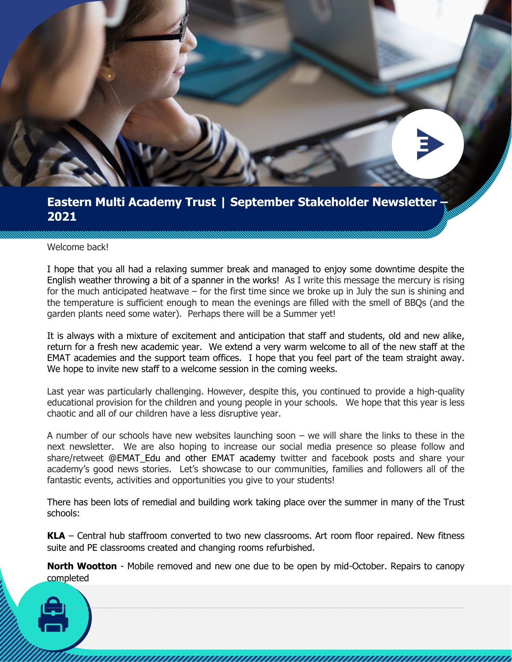

## **Eastern Multi Academy Trust | September Stakeholder Newsletter – 2021**

#### Welcome back!

I hope that you all had a relaxing summer break and managed to enjoy some downtime despite the English weather throwing a bit of a spanner in the works! As I write this message the mercury is rising for the much anticipated heatwave – for the first time since we broke up in July the sun is shining and the temperature is sufficient enough to mean the evenings are filled with the smell of BBQs (and the garden plants need some water). Perhaps there will be a Summer yet!

It is always with a mixture of excitement and anticipation that staff and students, old and new alike, return for a fresh new academic year. We extend a very warm welcome to all of the new staff at the EMAT academies and the support team offices. I hope that you feel part of the team straight away. We hope to invite new staff to a welcome session in the coming weeks.

Last year was particularly challenging. However, despite this, you continued to provide a high-quality educational provision for the children and young people in your schools. We hope that this year is less chaotic and all of our children have a less disruptive year.

A number of our schools have new websites launching soon – we will share the links to these in the next newsletter. We are also hoping to increase our social media presence so please follow and share/retweet @EMAT\_Edu and other EMAT academy twitter and facebook posts and share your academy's good news stories. Let's showcase to our communities, families and followers all of the fantastic events, activities and opportunities you give to your students!

There has been lots of remedial and building work taking place over the summer in many of the Trust schools:

**KLA** – Central hub staffroom converted to two new classrooms. Art room floor repaired. New fitness suite and PE classrooms created and changing rooms refurbished.

**North Wootton** - Mobile removed and new one due to be open by mid-October. Repairs to canopy completed

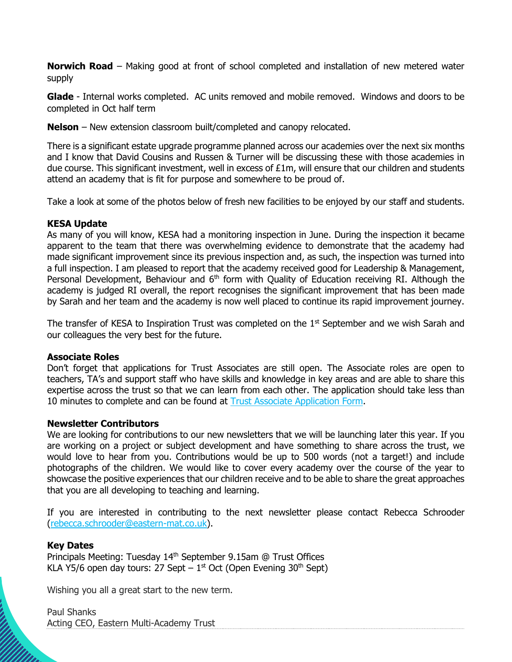**Norwich Road** – Making good at front of school completed and installation of new metered water supply

**Glade** - Internal works completed. AC units removed and mobile removed. Windows and doors to be completed in Oct half term

**Nelson** – New extension classroom built/completed and canopy relocated.

There is a significant estate upgrade programme planned across our academies over the next six months and I know that David Cousins and Russen & Turner will be discussing these with those academies in due course. This significant investment, well in excess of  $E1m$ , will ensure that our children and students attend an academy that is fit for purpose and somewhere to be proud of.

Take a look at some of the photos below of fresh new facilities to be enjoyed by our staff and students.

### **KESA Update**

As many of you will know, KESA had a monitoring inspection in June. During the inspection it became apparent to the team that there was overwhelming evidence to demonstrate that the academy had made significant improvement since its previous inspection and, as such, the inspection was turned into a full inspection. I am pleased to report that the academy received good for Leadership & Management, Personal Development, Behaviour and 6<sup>th</sup> form with Quality of Education receiving RI. Although the academy is judged RI overall, the report recognises the significant improvement that has been made by Sarah and her team and the academy is now well placed to continue its rapid improvement journey.

The transfer of KESA to Inspiration Trust was completed on the  $1<sup>st</sup>$  September and we wish Sarah and our colleagues the very best for the future.

#### **Associate Roles**

Don't forget that applications for Trust Associates are still open. The Associate roles are open to teachers, TA's and support staff who have skills and knowledge in key areas and are able to share this expertise across the trust so that we can learn from each other. The application should take less than 10 minutes to complete and can be found at [Trust Associate Application Form.](https://forms.office.com/r/EXbXG5dT8n)

#### **Newsletter Contributors**

We are looking for contributions to our new newsletters that we will be launching later this year. If you are working on a project or subject development and have something to share across the trust, we would love to hear from you. Contributions would be up to 500 words (not a target!) and include photographs of the children. We would like to cover every academy over the course of the year to showcase the positive experiences that our children receive and to be able to share the great approaches that you are all developing to teaching and learning.

If you are interested in contributing to the next newsletter please contact Rebecca Schrooder [\(rebecca.schrooder@eastern-mat.co.uk\)](mailto:rebecca.schrooder@eastern-mat.co.uk).

#### **Key Dates**

Principals Meeting: Tuesday 14<sup>th</sup> September 9.15am @ Trust Offices KLA Y5/6 open day tours: 27 Sept  $-1^{st}$  Oct (Open Evening 30<sup>th</sup> Sept)

Wishing you all a great start to the new term.

Paul Shanks Acting CEO, Eastern Multi-Academy Trust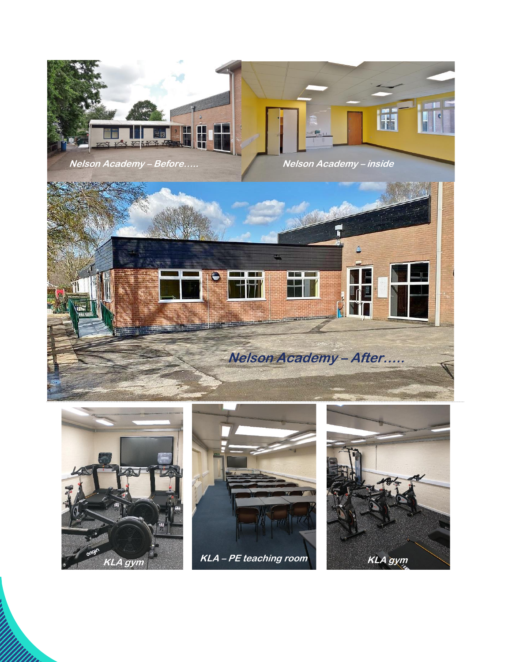

quote from the document or use this space to **Nelson Academy – Before…..**

**Nelson Academy – inside**





i<br>WWw.